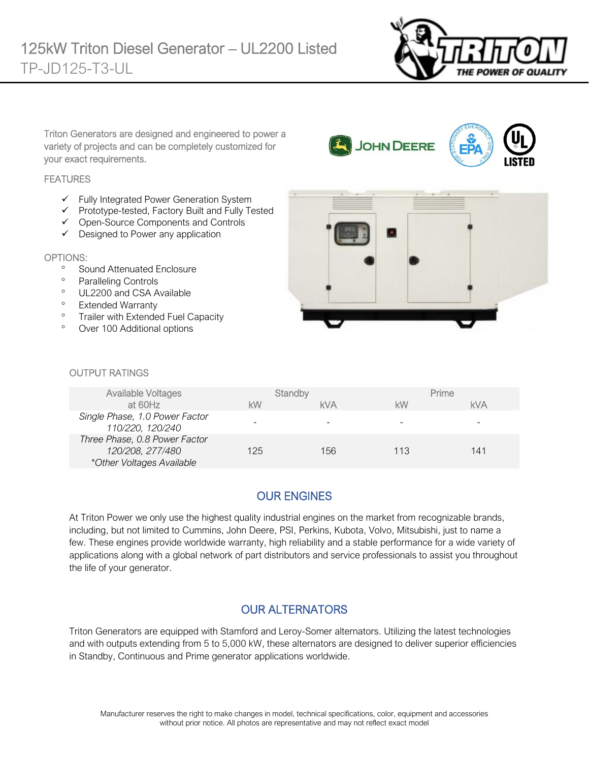

Triton Generators are designed and engineered to power a variety of projects and can be completely customized for your exact requirements.

#### **FEATURES**

- ✓ Fully Integrated Power Generation System
- ✓ Prototype-tested, Factory Built and Fully Tested
- ✓ Open-Source Components and Controls
- ✓ Designed to Power any application

#### OPTIONS:

- <sup>o</sup> Sound Attenuated Enclosure
- <sup>o</sup> Paralleling Controls
- <sup>o</sup> UL2200 and CSA Available
- <sup>o</sup> Extended Warranty
- <sup>o</sup> Trailer with Extended Fuel Capacity
- Over 100 Additional options



#### OUTPUT RATINGS

| <b>Available Voltages</b>                                                      | Standby |            | Prime |            |
|--------------------------------------------------------------------------------|---------|------------|-------|------------|
| at 60Hz                                                                        | kW      | <b>kVA</b> | kW    | <b>kVA</b> |
| Single Phase, 1.0 Power Factor<br>110/220, 120/240                             |         |            | -     | -          |
| Three Phase, 0.8 Power Factor<br>120/208, 277/480<br>*Other Voltages Available | 125     | 156        | 113   | 141        |

# OUR ENGINES

At Triton Power we only use the highest quality industrial engines on the market from recognizable brands, including, but not limited to Cummins, John Deere, PSI, Perkins, Kubota, Volvo, Mitsubishi, just to name a few. These engines provide worldwide warranty, high reliability and a stable performance for a wide variety of applications along with a global network of part distributors and service professionals to assist you throughout the life of your generator.

### OUR ALTERNATORS

Triton Generators are equipped with Stamford and Leroy-Somer alternators. Utilizing the latest technologies and with outputs extending from 5 to 5,000 kW, these alternators are designed to deliver superior efficiencies in Standby, Continuous and Prime generator applications worldwide.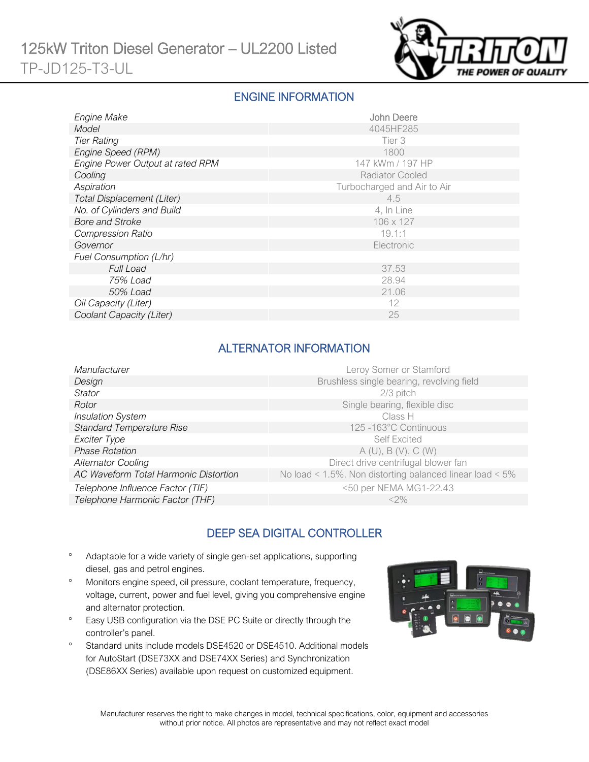

#### ENGINE INFORMATION

| Engine Make                      | John Deere                  |
|----------------------------------|-----------------------------|
| Model                            | 4045HF285                   |
| <b>Tier Rating</b>               | Tier 3                      |
| Engine Speed (RPM)               | 1800                        |
| Engine Power Output at rated RPM | 147 kWm / 197 HP            |
| Cooling                          | <b>Radiator Cooled</b>      |
| Aspiration                       | Turbocharged and Air to Air |
| Total Displacement (Liter)       | 4.5                         |
| No. of Cylinders and Build       | 4, In Line                  |
| <b>Bore and Stroke</b>           | 106 x 127                   |
| <b>Compression Ratio</b>         | 19.1:1                      |
| Governor                         | Electronic                  |
| Fuel Consumption (L/hr)          |                             |
| <b>Full Load</b>                 | 37.53                       |
| 75% Load                         | 28.94                       |
| 50% Load                         | 21.06                       |
| Oil Capacity (Liter)             | 12                          |
| Coolant Capacity (Liter)         | 25                          |

## ALTERNATOR INFORMATION

| Manufacturer                          | Leroy Somer or Stamford                                  |
|---------------------------------------|----------------------------------------------------------|
| Design                                | Brushless single bearing, revolving field                |
| <b>Stator</b>                         | $2/3$ pitch                                              |
| Rotor                                 | Single bearing, flexible disc                            |
| <b>Insulation System</b>              | Class H                                                  |
| <b>Standard Temperature Rise</b>      | 125 -163°C Continuous                                    |
| Exciter Type                          | <b>Self Excited</b>                                      |
| <b>Phase Rotation</b>                 | A(U), B(V), C(W)                                         |
| <b>Alternator Cooling</b>             | Direct drive centrifugal blower fan                      |
| AC Waveform Total Harmonic Distortion | No load < 1.5%. Non distorting balanced linear load < 5% |
| Telephone Influence Factor (TIF)      | <50 per NEMA MG1-22.43                                   |
| Telephone Harmonic Factor (THF)       | $<$ 2%                                                   |

# DEEP SEA DIGITAL CONTROLLER

- Adaptable for a wide variety of single gen-set applications, supporting diesel, gas and petrol engines.
- Monitors engine speed, oil pressure, coolant temperature, frequency, voltage, current, power and fuel level, giving you comprehensive engine and alternator protection.
- <sup>o</sup> Easy USB configuration via the DSE PC Suite or directly through the controller's panel.
- <sup>o</sup> Standard units include models DSE4520 or DSE4510. Additional models for AutoStart (DSE73XX and DSE74XX Series) and Synchronization (DSE86XX Series) available upon request on customized equipment.

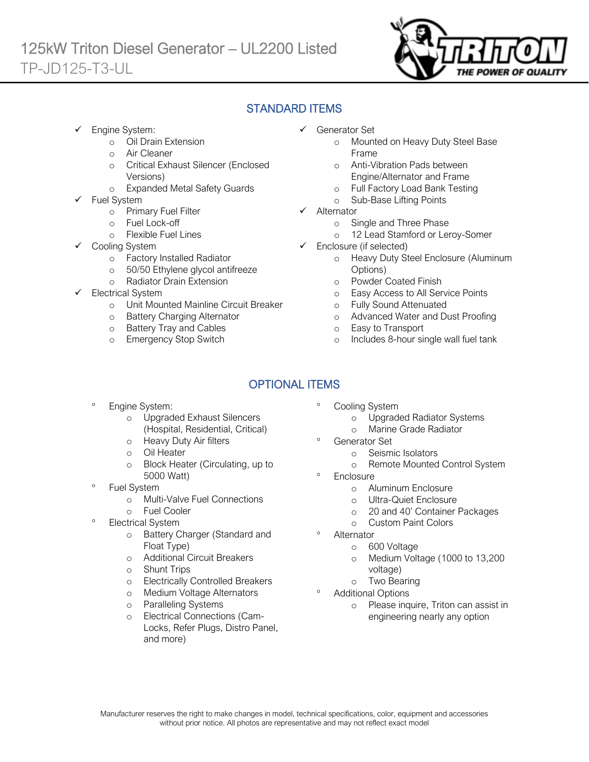

### STANDARD ITEMS

Engine System:

Ī

- o Oil Drain Extension
- o Air Cleaner
- o Critical Exhaust Silencer (Enclosed Versions)
- o Expanded Metal Safety Guards
- Fuel System
	- o Primary Fuel Filter
	- o Fuel Lock-off
		- o Flexible Fuel Lines
	- Cooling System
		- o Factory Installed Radiator
		- o 50/50 Ethylene glycol antifreeze
		- o Radiator Drain Extension
- Electrical System
	- o Unit Mounted Mainline Circuit Breaker
	- o Battery Charging Alternator
	- o Battery Tray and Cables
	- o Emergency Stop Switch
- ✓ Generator Set
	- o Mounted on Heavy Duty Steel Base Frame
	- o Anti-Vibration Pads between Engine/Alternator and Frame
	- o Full Factory Load Bank Testing
	- o Sub-Base Lifting Points
- ✓ Alternator
	- o Single and Three Phase
	- o 12 Lead Stamford or Leroy-Somer
- ✓ Enclosure (if selected)
	- o Heavy Duty Steel Enclosure (Aluminum Options)
	- o Powder Coated Finish
	- o Easy Access to All Service Points
	- o Fully Sound Attenuated
	- o Advanced Water and Dust Proofing
	- o Easy to Transport
	- o Includes 8-hour single wall fuel tank

# OPTIONAL ITEMS

- Engine System:
	- o Upgraded Exhaust Silencers (Hospital, Residential, Critical)
	- o Heavy Duty Air filters
	- o Oil Heater
	- o Block Heater (Circulating, up to 5000 Watt)
- Fuel System
	- o Multi-Valve Fuel Connections
	- o Fuel Cooler
- Electrical System
	- o Battery Charger (Standard and Float Type)
	- o Additional Circuit Breakers
	- o Shunt Trips
	- o Electrically Controlled Breakers
	- o Medium Voltage Alternators
	- o Paralleling Systems
	- o Electrical Connections (Cam-Locks, Refer Plugs, Distro Panel, and more)
- Cooling System
	- o Upgraded Radiator Systems
	- o Marine Grade Radiator
	- Generator Set
		- o Seismic Isolators
		- o Remote Mounted Control System
- **Enclosure** 
	- o Aluminum Enclosure
	- o Ultra-Quiet Enclosure
	- o 20 and 40' Container Packages
	- o Custom Paint Colors
- Alternator
	- o 600 Voltage
	- o Medium Voltage (1000 to 13,200 voltage)
	- o Two Bearing
- Additional Options
	- o Please inquire, Triton can assist in engineering nearly any option